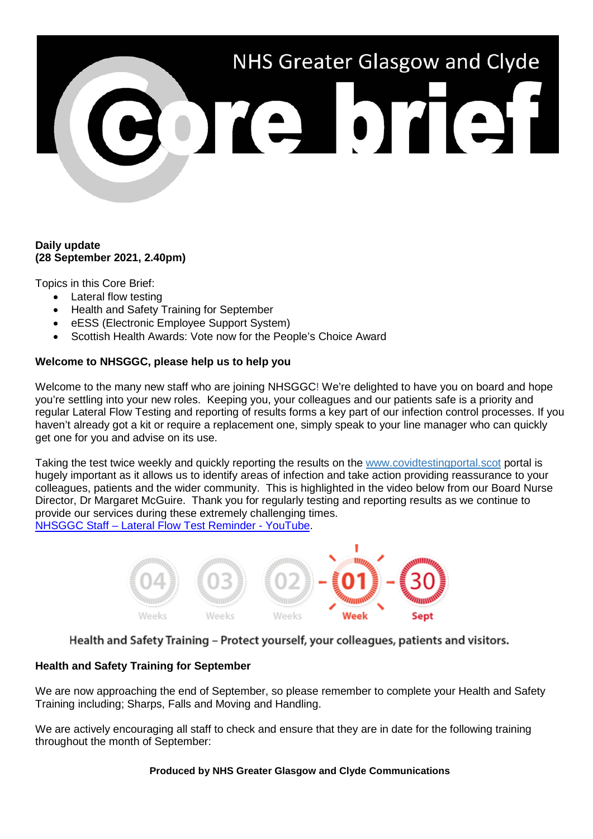# NHS Greater Glasgow and Clyde e bref

### **Daily update (28 September 2021, 2.40pm)**

Topics in this Core Brief:

- Lateral flow testing
- Health and Safety Training for September
- eESS (Electronic Employee Support System)
- Scottish Health Awards: Vote now for the People's Choice Award

# **Welcome to NHSGGC, please help us to help you**

Welcome to the many new staff who are joining NHSGGC! We're delighted to have you on board and hope you're settling into your new roles. Keeping you, your colleagues and our patients safe is a priority and regular Lateral Flow Testing and reporting of results forms a key part of our infection control processes. If you haven't already got a kit or require a replacement one, simply speak to your line manager who can quickly get one for you and advise on its use.

Taking the test twice weekly and quickly reporting the results on the [www.covidtestingportal.scot](http://www.covidtestingportal.scot/) portal is hugely important as it allows us to identify areas of infection and take action providing reassurance to your colleagues, patients and the wider community. This is highlighted in the video below from our Board Nurse Director, Dr Margaret McGuire. Thank you for regularly testing and reporting results as we continue to provide our services during these extremely challenging times. NHSGGC Staff – [Lateral Flow Test Reminder -](https://www.youtube.com/watch?v=B6E5bgScATc) YouTube.



Health and Safety Training - Protect yourself, your colleagues, patients and visitors.

# **Health and Safety Training for September**

We are now approaching the end of September, so please remember to complete your Health and Safety Training including; Sharps, Falls and Moving and Handling.

We are actively encouraging all staff to check and ensure that they are in date for the following training throughout the month of September:

### **Produced by NHS Greater Glasgow and Clyde Communications**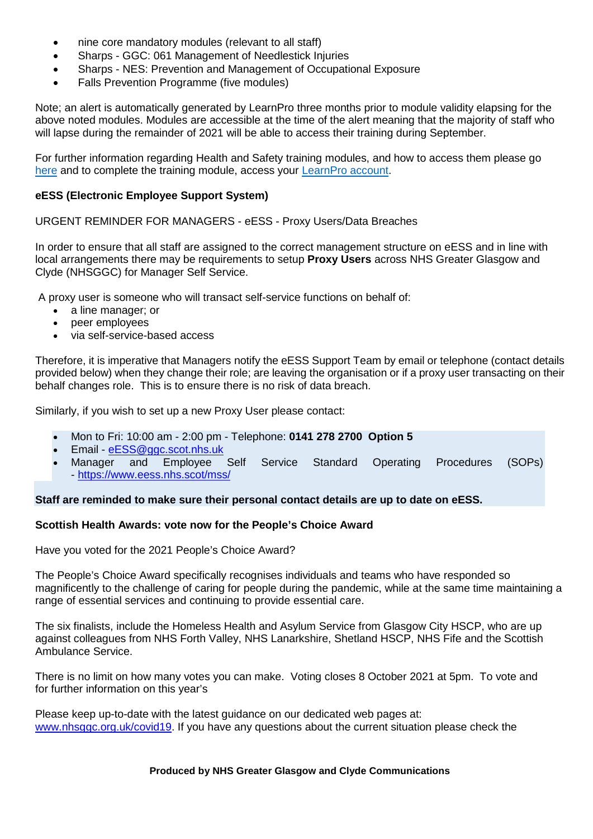- nine core mandatory modules (relevant to all staff)
- Sharps GGC: 061 Management of Needlestick Injuries
- Sharps NES: Prevention and Management of Occupational Exposure
- Falls Prevention Programme (five modules)

Note; an alert is automatically generated by LearnPro three months prior to module validity elapsing for the above noted modules. Modules are accessible at the time of the alert meaning that the majority of staff who will lapse during the remainder of 2021 will be able to access their training during September.

For further information regarding Health and Safety training modules, and how to access them please go [here](https://www.nhsggc.org.uk/working-with-us/hr-connect/health-safety/training-and-education/health-safety-training/) and to complete the training module, access your [LearnPro account.](http://nhs.learnprouk.com/)

## **eESS (Electronic Employee Support System)**

URGENT REMINDER FOR MANAGERS - eESS - Proxy Users/Data Breaches

In order to ensure that all staff are assigned to the correct management structure on eESS and in line with local arrangements there may be requirements to setup **Proxy Users** across NHS Greater Glasgow and Clyde (NHSGGC) for Manager Self Service.

A proxy user is someone who will transact self-service functions on behalf of:

- a line manager; or
- peer employees
- via self-service-based access

Therefore, it is imperative that Managers notify the eESS Support Team by email or telephone (contact details provided below) when they change their role; are leaving the organisation or if a proxy user transacting on their behalf changes role. This is to ensure there is no risk of data breach.

Similarly, if you wish to set up a new Proxy User please contact:

- Mon to Fri: 10:00 am 2:00 pm Telephone: **0141 278 2700 Option 5**
- Email [eESS@ggc.scot.nhs.uk](mailto:eESS@ggc.scot.nhs.uk)
- Manager and Employee Self Service Standard Operating Procedures (SOPs) - <https://www.eess.nhs.scot/mss/>

**Staff are reminded to make sure their personal contact details are up to date on eESS.**

#### **Scottish Health Awards: vote now for the People's Choice Award**

Have you voted for the 2021 People's Choice Award?

The People's Choice Award specifically recognises individuals and teams who have responded so magnificently to the challenge of caring for people during the pandemic, while at the same time maintaining a range of essential services and continuing to provide essential care.

The six finalists, include the Homeless Health and Asylum Service from Glasgow City HSCP, who are up against colleagues from NHS Forth Valley, NHS Lanarkshire, Shetland HSCP, NHS Fife and the Scottish Ambulance Service.

There is no limit on how many votes you can make. Voting closes 8 October 2021 at 5pm. To vote and for further information on this year's

Please keep up-to-date with the latest guidance on our dedicated web pages at: [www.nhsggc.org.uk/covid19.](http://www.nhsggc.org.uk/covid19) If you have any questions about the current situation please check the

#### **Produced by NHS Greater Glasgow and Clyde Communications**